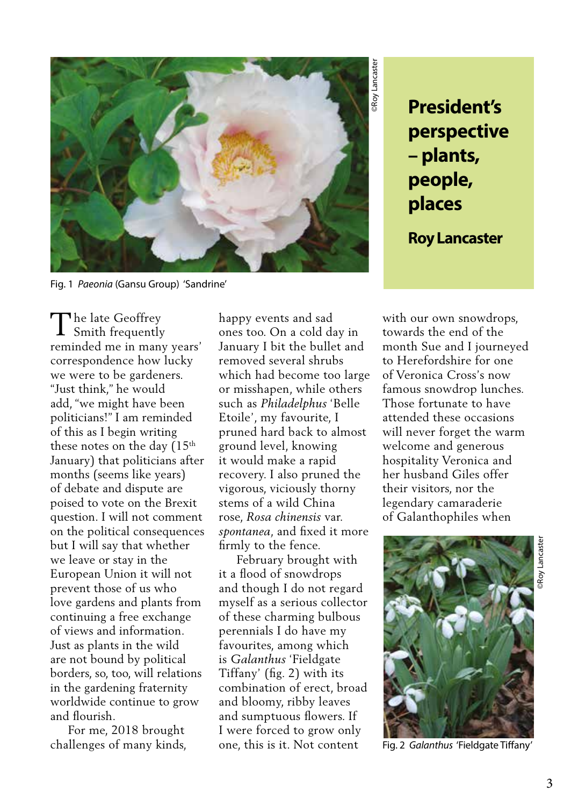

Fig. 1 *Paeonia* (Gansu Group) 'Sandrine'

The late Geoffrey<br>Smith frequently Smith frequently reminded me in many years' correspondence how lucky we were to be gardeners. "Just think," he would add, "we might have been politicians!" I am reminded of this as I begin writing these notes on the day (15<sup>th</sup> January) that politicians after months (seems like years) of debate and dispute are poised to vote on the Brexit question. I will not comment on the political consequences but I will say that whether we leave or stay in the European Union it will not prevent those of us who love gardens and plants from continuing a free exchange of views and information. Just as plants in the wild are not bound by political borders, so, too, will relations in the gardening fraternity worldwide continue to grow and flourish.

 For me, 2018 brought challenges of many kinds,

happy events and sad ones too. On a cold day in January I bit the bullet and removed several shrubs which had become too large or misshapen, while others such as *Philadelphus* 'Belle Etoile', my favourite, I pruned hard back to almost ground level, knowing it would make a rapid recovery. I also pruned the vigorous, viciously thorny stems of a wild China rose, *Rosa chinensis* var. *spontanea*, and fixed it more firmly to the fence.

 February brought with it a flood of snowdrops and though I do not regard myself as a serious collector of these charming bulbous perennials I do have my favourites, among which is *Galanthus* 'Fieldgate Tiffany' (fig. 2) with its combination of erect, broad and bloomy, ribby leaves and sumptuous flowers. If I were forced to grow only one, this is it. Not content

**perspective – plants, people, places**

**Roy Lancaster**

with our own snowdrops, towards the end of the month Sue and I journeyed to Herefordshire for one of Veronica Cross's now famous snowdrop lunches. Those fortunate to have attended these occasions will never forget the warm welcome and generous hospitality Veronica and her husband Giles offer their visitors, nor the legendary camaraderie of Galanthophiles when



Fig. 2 *Galanthus* 'Fieldgate Tiffany'

©Roy Lancaster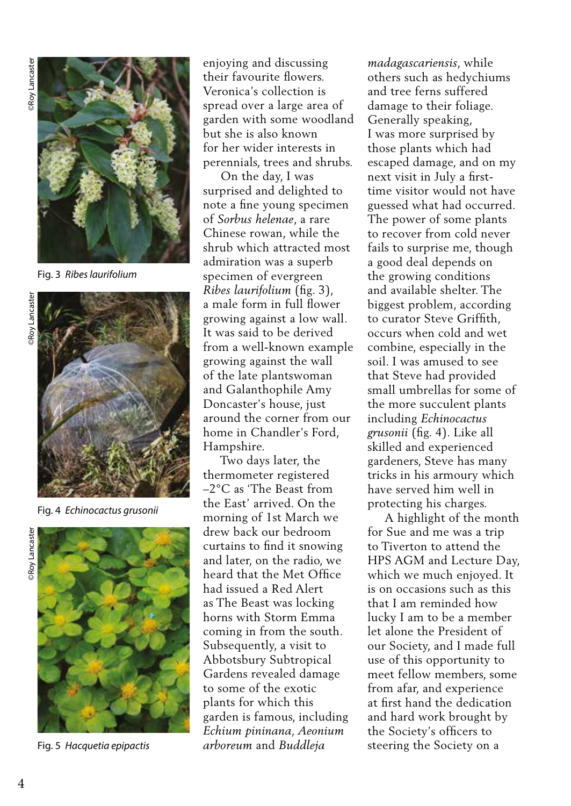

Fig. 3 *Ribes laurifolium* 



Fig. 4 *Echinocactus grusonii* 



Fig. 5 *Hacquetia epipactis* 

enjoying and discussing their favourite flowers. Veronica's collection is spread over a large area of garden with some woodland but she is also known for her wider interests in perennials, trees and shrubs.

 On the day, I was surprised and delighted to note a fine young specimen of *Sorbus helenae*, a rare Chinese rowan, while the shrub which attracted most admiration was a superb specimen of evergreen *Ribes laurifolium* (fig. 3), a male form in full flower growing against a low wall. It was said to be derived from a well-known example growing against the wall of the late plantswoman and Galanthophile Amy Doncaster's house, just around the corner from our home in Chandler's Ford, Hampshire.

 Two days later, the thermometer registered –2°C as 'The Beast from the East' arrived. On the morning of 1st March we drew back our bedroom curtains to find it snowing and later, on the radio, we heard that the Met Office had issued a Red Alert as The Beast was locking horns with Storm Emma coming in from the south. Subsequently, a visit to Abbotsbury Subtropical Gardens revealed damage to some of the exotic plants for which this garden is famous, including *Echium pininana, Aeonium arboreum* and *Buddleja* 

*madagascariensis*, while others such as hedychiums and tree ferns suffered damage to their foliage. Generally speaking, I was more surprised by those plants which had escaped damage, and on my next visit in July a firsttime visitor would not have guessed what had occurred. The power of some plants to recover from cold never fails to surprise me, though a good deal depends on the growing conditions and available shelter. The biggest problem, according to curator Steve Griffith, occurs when cold and wet combine, especially in the soil. I was amused to see that Steve had provided small umbrellas for some of the more succulent plants including *Echinocactus grusonii* (fig. 4). Like all skilled and experienced gardeners, Steve has many tricks in his armoury which have served him well in protecting his charges.

 A highlight of the month for Sue and me was a trip to Tiverton to attend the HPS AGM and Lecture Day, which we much enjoyed. It is on occasions such as this that I am reminded how lucky I am to be a member let alone the President of our Society, and I made full use of this opportunity to meet fellow members, some from afar, and experience at first hand the dedication and hard work brought by the Society's officers to steering the Society on a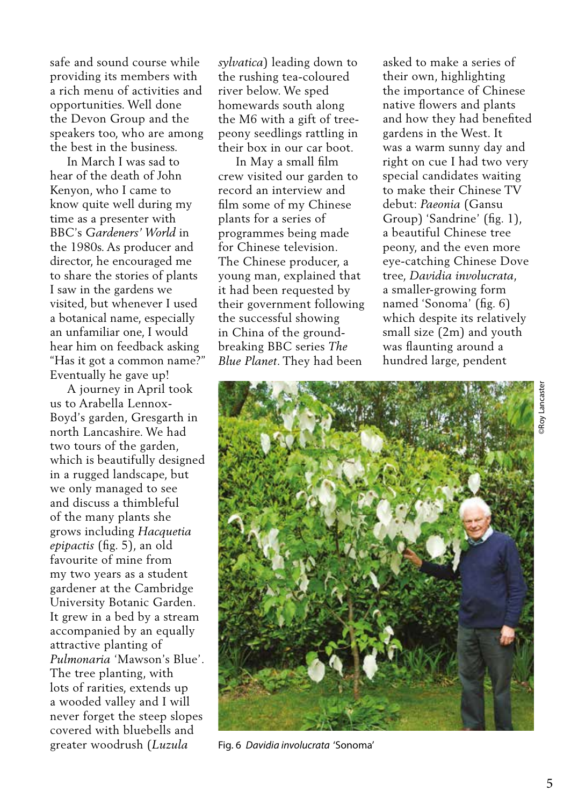safe and sound course while providing its members with a rich menu of activities and opportunities. Well done the Devon Group and the speakers too, who are among the best in the business.

 In March I was sad to hear of the death of John Kenyon, who I came to know quite well during my time as a presenter with BBC's *Gardeners' World* in the 1980s. As producer and director, he encouraged me to share the stories of plants I saw in the gardens we visited, but whenever I used a botanical name, especially an unfamiliar one, I would hear him on feedback asking "Has it got a common name?" Eventually he gave up!

 A journey in April took us to Arabella Lennox-Boyd's garden, Gresgarth in north Lancashire. We had two tours of the garden, which is beautifully designed in a rugged landscape, but we only managed to see and discuss a thimbleful of the many plants she grows including *Hacquetia epipactis* (fig. 5), an old favourite of mine from my two years as a student gardener at the Cambridge University Botanic Garden. It grew in a bed by a stream accompanied by an equally attractive planting of *Pulmonaria* 'Mawson's Blue'. The tree planting, with lots of rarities, extends up a wooded valley and I will never forget the steep slopes covered with bluebells and greater woodrush (*Luzula* 

*sylvatica*) leading down to the rushing tea-coloured river below. We sped homewards south along the M6 with a gift of treepeony seedlings rattling in their box in our car boot.

 In May a small film crew visited our garden to record an interview and film some of my Chinese plants for a series of programmes being made for Chinese television. The Chinese producer, a young man, explained that it had been requested by their government following the successful showing in China of the groundbreaking BBC series *The Blue Planet*. They had been

asked to make a series of their own, highlighting the importance of Chinese native flowers and plants and how they had benefited gardens in the West. It was a warm sunny day and right on cue I had two very special candidates waiting to make their Chinese TV debut: *Paeonia* (Gansu Group) 'Sandrine' (fig. 1), a beautiful Chinese tree peony, and the even more eye-catching Chinese Dove tree, *Davidia involucrata*, a smaller-growing form named 'Sonoma' (fig. 6) which despite its relatively small size (2m) and youth was flaunting around a hundred large, pendent



Fig. 6 *Davidia involucrata* 'Sonoma'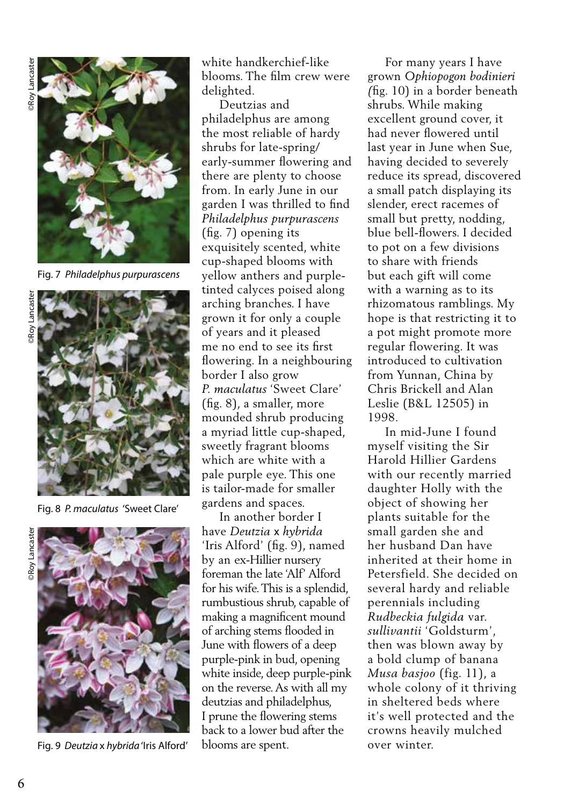

Fig. 7 *Philadelphus purpurascens* 



Fig. 8 *P. maculatus* 'Sweet Clare'



Fig. 9 *Deutzia* x *hybrida* 'Iris Alford'

white handkerchief-like blooms. The film crew were delighted.

 Deutzias and philadelphus are among the most reliable of hardy shrubs for late-spring/ early-summer flowering and there are plenty to choose from. In early June in our garden I was thrilled to find *Philadelphus purpurascens*  (fig. 7) opening its exquisitely scented, white cup-shaped blooms with yellow anthers and purpletinted calyces poised along arching branches. I have grown it for only a couple of years and it pleased me no end to see its first flowering. In a neighbouring border I also grow *P. maculatus* 'Sweet Clare' (fig. 8), a smaller, more mounded shrub producing a myriad little cup-shaped, sweetly fragrant blooms which are white with a pale purple eye. This one is tailor-made for smaller gardens and spaces.

 In another border I have *Deutzia* x *hybrida* 'Iris Alford' (fig. 9), named by an ex-Hillier nursery foreman the late 'Alf' Alford for his wife. This is a splendid, rumbustious shrub, capable of making a magnificent mound of arching stems flooded in June with flowers of a deep purple-pink in bud, opening white inside, deep purple-pink on the reverse. As with all my deutzias and philadelphus, I prune the flowering stems back to a lower bud after the blooms are spent.

 For many years I have grown *Ophiopogon bodinieri (*fig. 10) in a border beneath shrubs. While making excellent ground cover, it had never flowered until last year in June when Sue, having decided to severely reduce its spread, discovered a small patch displaying its slender, erect racemes of small but pretty, nodding, blue bell-flowers. I decided to pot on a few divisions to share with friends but each gift will come with a warning as to its rhizomatous ramblings. My hope is that restricting it to a pot might promote more regular flowering. It was introduced to cultivation from Yunnan, China by Chris Brickell and Alan Leslie (B&L 12505) in 1998.

 In mid-June I found myself visiting the Sir Harold Hillier Gardens with our recently married daughter Holly with the object of showing her plants suitable for the small garden she and her husband Dan have inherited at their home in Petersfield. She decided on several hardy and reliable perennials including *Rudbeckia fulgida* var. *sullivantii* 'Goldsturm', then was blown away by a bold clump of banana *Musa basjoo* (fig. 11), a whole colony of it thriving in sheltered beds where it's well protected and the crowns heavily mulched over winter.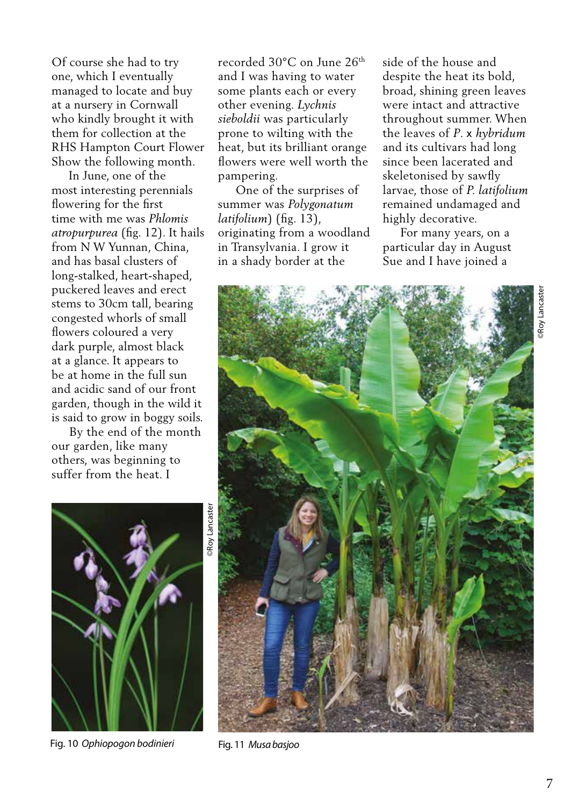Of course she had to try one, which I eventually managed to locate and buy at a nursery in Cornwall who kindly brought it with them for collection at the RHS Hampton Court Flower Show the following month.

 In June, one of the most interesting perennials flowering for the first time with me was *Phlomis atropurpurea* (fig. 12). It hails from N W Yunnan, China, and has basal clusters of long-stalked, heart-shaped, puckered leaves and erect stems to 30cm tall, bearing congested whorls of small flowers coloured a very dark purple, almost black at a glance. It appears to be at home in the full sun and acidic sand of our front garden, though in the wild it is said to grow in boggy soils.

 By the end of the month our garden, like many others, was beginning to suffer from the heat. I

recorded 30°C on June 26th and I was having to water some plants each or every other evening. *Lychnis sieboldii* was particularly prone to wilting with the heat, but its brilliant orange flowers were well worth the pampering.

 One of the surprises of summer was *Polygonatum latifolium*) (fig. 13), originating from a woodland in Transylvania. I grow it in a shady border at the

side of the house and despite the heat its bold, broad, shining green leaves were intact and attractive throughout summer. When the leaves of *P*. x *hybridum*  and its cultivars had long since been lacerated and skeletonised by sawfly larvae, those of *P. latifolium* remained undamaged and highly decorative.

 For many years, on a particular day in August Sue and I have joined a





©Roy Lancaster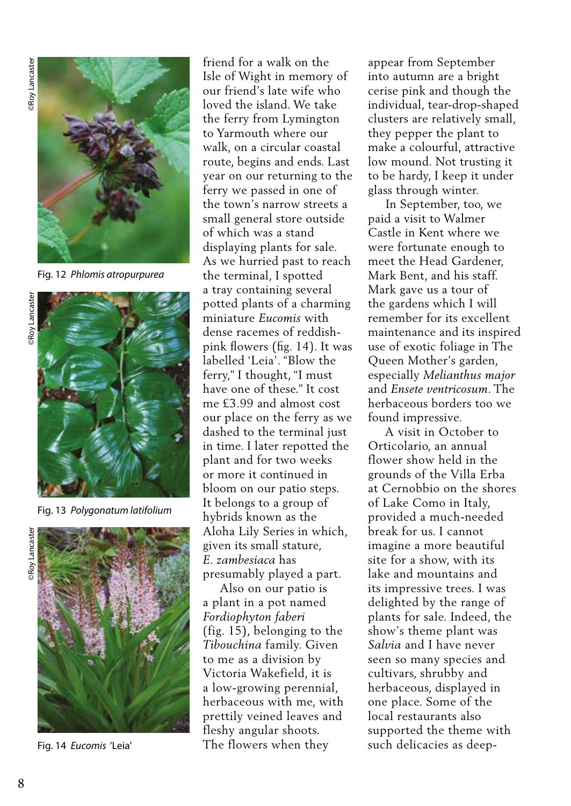

Fig. 12 *Phlomis atropurpurea*



Fig. 13 *Polygonatum latifolium* 



Fig. 14 *Eucomis* 'Leia'

friend for a walk on the Isle of Wight in memory of our friend's late wife who loved the island. We take the ferry from Lymington to Yarmouth where our walk, on a circular coastal route, begins and ends. Last year on our returning to the ferry we passed in one of the town's narrow streets a small general store outside of which was a stand displaying plants for sale. As we hurried past to reach the terminal, I spotted a tray containing several potted plants of a charming miniature *Eucomis* with dense racemes of reddishpink flowers (fig. 14). It was labelled 'Leia'. "Blow the ferry," I thought, "I must have one of these." It cost me £3.99 and almost cost our place on the ferry as we dashed to the terminal just in time. I later repotted the plant and for two weeks or more it continued in bloom on our patio steps. It belongs to a group of hybrids known as the Aloha Lily Series in which, given its small stature, *E. zambesiaca* has presumably played a part.

 Also on our patio is a plant in a pot named *Fordiophyton faberi* (fig. 15), belonging to the *Tibouchina* family. Given to me as a division by Victoria Wakefield, it is a low-growing perennial, herbaceous with me, with prettily veined leaves and fleshy angular shoots. The flowers when they

appear from September into autumn are a bright cerise pink and though the individual, tear-drop-shaped clusters are relatively small, they pepper the plant to make a colourful, attractive low mound. Not trusting it to be hardy, I keep it under glass through winter.

 In September, too, we paid a visit to Walmer Castle in Kent where we were fortunate enough to meet the Head Gardener, Mark Bent, and his staff. Mark gave us a tour of the gardens which I will remember for its excellent maintenance and its inspired use of exotic foliage in The Queen Mother's garden, especially *Melianthus major*  and *Ensete ventricosum*. The herbaceous borders too we found impressive.

 A visit in October to Orticolario, an annual flower show held in the grounds of the Villa Erba at Cernobbio on the shores of Lake Como in Italy, provided a much-needed break for us. I cannot imagine a more beautiful site for a show, with its lake and mountains and its impressive trees. I was delighted by the range of plants for sale. Indeed, the show's theme plant was *Salvia* and I have never seen so many species and cultivars, shrubby and herbaceous, displayed in one place. Some of the local restaurants also supported the theme with such delicacies as deep-